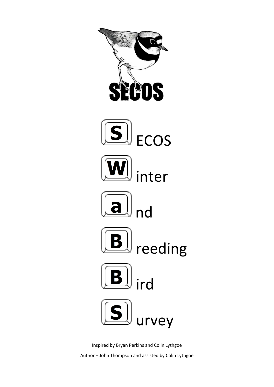

Inspired by Bryan Perkins and Colin Lythgoe Author – John Thompson and assisted by Colin Lythgoe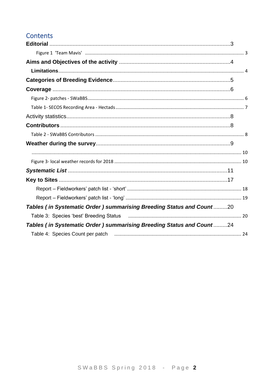# Contents

| Tables (in Systematic Order) summarising Breeding Status and Count20 |  |
|----------------------------------------------------------------------|--|
|                                                                      |  |
| Tables (in Systematic Order) summarising Breeding Status and Count24 |  |
|                                                                      |  |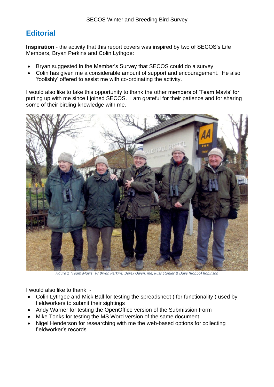# <span id="page-2-0"></span>**Editorial**

**Inspiration** - the activity that this report covers was inspired by two of SECOS's Life Members, Bryan Perkins and Colin Lythgoe:

- Bryan suggested in the Member's Survey that SECOS could do a survey
- Colin has given me a considerable amount of support and encouragement. He also 'foolishly' offered to assist me with co-ordinating the activity.

I would also like to take this opportunity to thank the other members of 'Team Mavis' for putting up with me since I joined SECOS. I am grateful for their patience and for sharing some of their birding knowledge with me.



*Figure 1 'Team Mavis' l-r Bryan Perkins, Derek Owen, me, Russ Stonier & Dave (Robbo) Robinson*

<span id="page-2-1"></span>I would also like to thank: -

- Colin Lythgoe and Mick Ball for testing the spreadsheet ( for functionality ) used by fieldworkers to submit their sightings
- Andy Warner for testing the OpenOffice version of the Submission Form
- Mike Tonks for testing the MS Word version of the same document
- Nigel Henderson for researching with me the web-based options for collecting fieldworker's records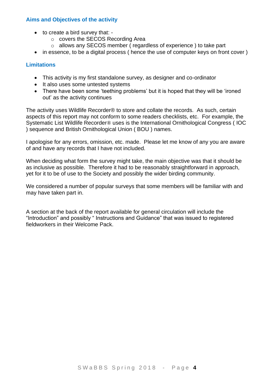#### <span id="page-3-0"></span>**Aims and Objectives of the activity**

- to create a bird survey that:
	- o covers the SECOS Recording Area
	- o allows any SECOS member ( regardless of experience ) to take part
- in essence, to be a digital process ( hence the use of computer keys on front cover )

#### <span id="page-3-1"></span>**Limitations**

- This activity is my first standalone survey, as designer and co-ordinator
- It also uses some untested systems
- There have been some 'teething problems' but it is hoped that they will be 'ironed out' as the activity continues

The activity uses Wildlife Recorder® to store and collate the records. As such, certain aspects of this report may not conform to some readers checklists, etc. For example, the Systematic List Wildlife Recorder® uses is the International Ornithological Congress ( IOC ) sequence and British Ornithological Union ( BOU ) names.

I apologise for any errors, omission, etc. made. Please let me know of any you are aware of and have any records that I have not included.

When deciding what form the survey might take, the main objective was that it should be as inclusive as possible. Therefore it had to be reasonably straightforward in approach, yet for it to be of use to the Society and possibly the wider birding community.

We considered a number of popular surveys that some members will be familiar with and may have taken part in.

A section at the back of the report available for general circulation will include the "Introduction" and possibly " Instructions and Guidance" that was issued to registered fieldworkers in their Welcome Pack.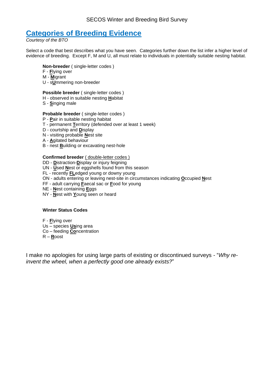## <span id="page-4-0"></span>**Categories of Breeding Evidence**

*Courtesy of the BTO*

Select a code that best describes what you have seen. Categories further down the list infer a higher level of evidence of breeding. Except F, M and U, all must relate to individuals in potentially suitable nesting habitat.

#### **Non-breeder** ( single-letter codes )

- F **F**lying over
- M **M**igrant
- U s**U**mmering non-breeder

#### **Possible breeder** ( single-letter codes )

- H observed in suitable nesting **H**abitat
- S **S**inging male

#### **Probable breeder** ( single-letter codes )

- P **P**air in suitable nesting habitat
- T permanent **T**erritory (defended over at least 1 week)
- D courtship and **D**isplay
- N visiting probable **N**est site
- A **A**gitated behaviour
- B nest **B**uilding or excavating nest-hole

#### **Confirmed breeder** ( double-letter codes )

- DD **D**istraction-**D**isplay or injury feigning
- UN **U**sed **N**est or eggshells found from this season
- FL recently **FL**edged young or downy young
- ON adults entering or leaving nest-site in circumstances indicating **O**ccupied **N**est
- FF adult carrying **F**aecal sac or **F**ood for young
- NE **N**est containing **E**ggs
- NY **N**est with **Y**oung seen or heard

#### **Winter Status Codes**

F - **F**lying over

- Us species **Us**ing area
- Co feeding **Co**ncentration
- R **R**oost

I make no apologies for using large parts of existing or discontinued surveys - "*Why reinvent the wheel, when a perfectly good one already exists?*"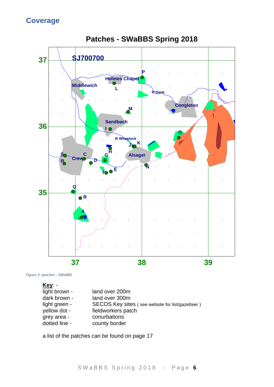<span id="page-5-0"></span>

**Patches - SWaBBS Spring 2018**

<span id="page-5-1"></span>

**Key**: light brown - land over 200m dark brown - land over 300m light green - SECOS Key sites (see website for list/gazetteer) yellow dot - fieldworkers patch grey area - conurbations dotted line - county border

a list of the patches can be found on page 17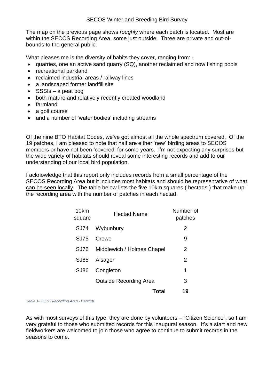The map on the previous page shows *roughly* where each patch is located. Most are within the SECOS Recording Area, some just outside. Three are private and out-ofbounds to the general public.

What pleases me is the diversity of habits they cover, ranging from: -

- quarries, one an active sand quarry (SQ), another reclaimed and now fishing pools
- recreational parkland
- reclaimed industrial areas / railway lines
- a landscaped former landfill site
- SSSIs a peat bog
- both mature and relatively recently created woodland
- farmland
- a golf course
- and a number of 'water bodies' including streams

Of the nine BTO Habitat Codes, we've got almost all the whole spectrum covered. Of the 19 patches, I am pleased to note that half are either 'new' birding areas to SECOS members or have not been 'covered' for some years. I'm not expecting any surprises but the wide variety of habitats should reveal some interesting records and add to our understanding of our local bird population.

I acknowledge that this report only includes records from a small percentage of the SECOS Recording Area but it includes most habitats and should be representative of what can be seen locally. The table below lists the five 10km squares ( hectads ) that make up the recording area with the number of patches in each hectad.

| 10km<br>square | <b>Hectad Name</b>            | Number of<br>patches |
|----------------|-------------------------------|----------------------|
| <b>SJ74</b>    | Wybunbury                     | 2                    |
| SJ75           | Crewe                         | 9                    |
| SJ76           | Middlewich / Holmes Chapel    | 2                    |
| SJ85           | Alsager                       | $\mathcal{P}$        |
| SJ86           | Congleton                     | 1                    |
|                | <b>Outside Recording Area</b> | 3                    |
|                | Total                         | 19                   |
|                |                               |                      |

<span id="page-6-0"></span>*Table 1- SECOS Recording Area - Hectads*

As with most surveys of this type, they are done by volunteers – "Citizen Science", so I am very grateful to those who submitted records for this inaugural season. It's a start and new fieldworkers are welcomed to join those who agree to continue to submit records in the seasons to come.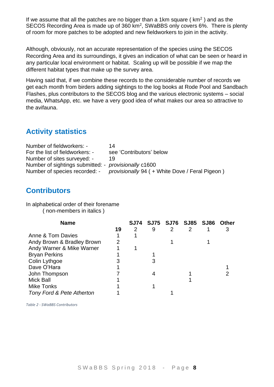If we assume that all the patches are no bigger than a 1km square ( $km<sup>2</sup>$ ) and as the SECOS Recording Area is made up of 360 km<sup>2</sup>, SWaBBS only covers 6%. There is plenty of room for more patches to be adopted and new fieldworkers to join in the activity.

Although, obviously, not an accurate representation of the species using the SECOS Recording Area and its surroundings, it gives an indication of what can be seen or heard in any particular local environment or habitat. Scaling up will be possible if we map the different habitat types that make up the survey area.

Having said that, if we combine these records to the considerable number of records we get each month from birders adding sightings to the log books at Rode Pool and Sandbach Flashes, plus contributors to the SECOS blog and the various electronic systems – social media, WhatsApp, etc. we have a very good idea of what makes our area so attractive to the avifauna.

# <span id="page-7-0"></span>**Activity statistics**

| Number of fieldworkers: -                            | 14                                                                             |
|------------------------------------------------------|--------------------------------------------------------------------------------|
| For the list of fieldworkers: -                      | see 'Contributors' below                                                       |
| Number of sites surveyed: -                          | 19                                                                             |
| Number of sightings submitted: - provisionally c1600 |                                                                                |
|                                                      | Number of species recorded: - provisionally 94 ( + White Dove / Feral Pigeon ) |

## <span id="page-7-1"></span>**Contributors**

In alphabetical order of their forename ( non-members in italics )

| <b>Name</b>                |    | <b>SJ74</b> |   |   | SJ75 SJ76 SJ85 SJ86 | Other |
|----------------------------|----|-------------|---|---|---------------------|-------|
|                            | 19 | 2           | 9 | 2 | 2                   |       |
| Anne & Tom Davies          |    |             |   |   |                     |       |
| Andy Brown & Bradley Brown |    |             |   |   |                     |       |
| Andy Warner & Mike Warner  |    |             |   |   |                     |       |
| <b>Bryan Perkins</b>       |    |             |   |   |                     |       |
| Colin Lythgoe              |    |             |   |   |                     |       |
| Dave O'Hara                |    |             |   |   |                     |       |
| John Thompson              |    |             |   |   |                     |       |
| <b>Mick Ball</b>           |    |             |   |   |                     |       |
| Mike Tonks                 |    |             |   |   |                     |       |
| Tony Ford & Pete Atherton  |    |             |   |   |                     |       |

<span id="page-7-2"></span>*Table 2 - SWaBBS Contributors*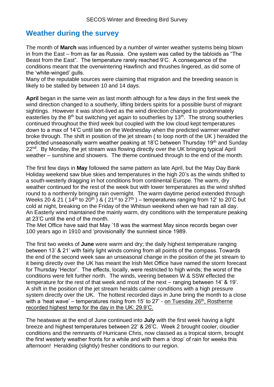## <span id="page-8-0"></span>**Weather during the survey**

The month of **March** was influenced by a number of winter weather systems being blown in from the East – from as far as Russia. One system was called by the tabloids as "The Beast from the East". The temperature rarely reached 9'C. A consequence of the conditions meant that the overwintering Hawfinch and thrushes lingered, as did some of the 'white-winged' gulls.

Many of the reputable sources were claiming that migration and the breeding season is likely to be stalled by between 10 and 14 days.

**April** began in the same vein as last month although for a few days in the first week the wind direction changed to a southerly, lifting birders spirits for a possible burst of migrant sightings. However it was short-lived as the wind direction changed to prodominately easterlies by the  $8<sup>th</sup>$  but switching yet again to southerlies by 13<sup>th</sup>. The strong southerlies continued throughout the third week but coupled with the low cloud kept temperatures down to a max of 14'C until late on the Wednesday when the predicted warmer weather broke through. The shift in position of the jet stream ( to loop north of the UK ) heralded the predicted unseasonally warm weather peaking at 18'C between Thursday 19th and Sunday 22<sup>nd</sup>. By Monday, the jet stream was flowing directly over the UK bringing typical April weather – sunshine and showers. The theme continued through to the end of the month.

The first few days in **May** followed the same pattern as late April, but the May Day Bank Holiday weekend saw blue skies and temperatures in the high 20's as the winds shifted to a south-westerly dragging in hot conditions from continental Europe. The warm, dry weather continued for the rest of the week but with lower temperatures as the wind shifted round to a northernly bringing rain overnight. The warm daytime period extended through Weeks 20 & 21 (  $14^{th}$  to  $20^{th}$  ) & (  $21^{st}$  to  $27^{th}$  ) – temperatures ranging from 12' to 20'C but cold at night, breaking on the Friday of the Whitsun weekend when we had rain all day. An Easterly wind maintained the mainly warm, dry conditions with the temperature peaking at 23'C until the end of the month.

The Met Office have said that May '18 was the warmest May since records began over 100 years ago in 1910 and 'provisionally' the sunniest since 1989.

The first two weeks of **June** were warm and dry; the daily highest temperature ranging between 13' & 21' with fairly light winds coming from all points of the compass. Towards the end of the second week saw an unseasonal change in the position of the jet stream to it being directly over the UK has meant the Irish Met Office have named the storm forecast for Thursday 'Hector'. The effects, locally, were restricted to high winds; the worst of the conditions were felt further north. The winds, veering between W & SSW effected the temperature for the rest of that week and most of the next – ranging between 14' & 19'. A shift in the position of the jet stream heralds calmer conditions with a high pressure system directly over the UK. The hottest recorded days in June bring the month to a close with a 'heat wave' – temperatures rising from 15' to 27' - on Tuesday 26<sup>th</sup>, Rostherne recorded highest temp for the day in the UK: 29.9'C.

The heatwave at the end of June continued into **July** with the first week having a light breeze and highest temperatures between 22' & 26'C. Week 2 brought cooler, cloudier conditions and the remnants of Hurricane Chris, now classed as a tropical storm, brought the first westerly weather fronts for a while and with them a 'drop' of rain for weeks this afternoon! Heralding (slightly) fresher conditions to our region.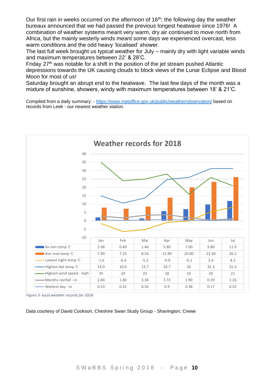Our first rain in weeks occurred on the afternoon of 16<sup>th</sup>; the following day the weather bureaux announced that we had passed the previous longest heatwave since 1976! A combination of weather systems meant very warm, dry air continued to move north from Africa, but the mainly westerly winds meant some days we experienced overcast, less warm conditions and the odd heavy 'localised' shower.

The last full week brought us typical weather for July – mainly dry with light variable winds and maximum temperatures between 22' & 28'C.

Friday 27th was notable for a shift in the position of the jet stream pushed Atlantic depressions towards the UK causing clouds to block views of the Lunar Eclipse and Blood Moon for most of us!

Saturday brought an abrupt end to the heatwave. The last few days of the month was a mixture of sunshine, showers, windy with maximum temperatures between 18' & 21'C.

Compiled from a daily summary: - <https://www.metoffice.gov.uk/public/weather/observation/> based on records from Leek - our nearest weather station.

<span id="page-9-0"></span>

<span id="page-9-1"></span>*Figure 3- local weather records for 2018*

Data courtesy of David Cookson, Cheshire Swan Study Group - Shavington, Crewe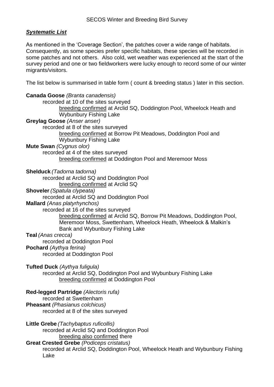## <span id="page-10-0"></span>*Systematic List*

As mentioned in the 'Coverage Section', the patches cover a wide range of habitats. Consequently, as some species prefer specific habitats, these species will be recorded in some patches and not others. Also cold, wet weather was experienced at the start of the survey period and one or two fieldworkers were lucky enough to record some of our winter migrants/visitors.

The list below is summarised in table form ( count & breeding status ) later in this section.

| Canada Goose (Branta canadensis)                                             |
|------------------------------------------------------------------------------|
| recorded at 10 of the sites surveyed                                         |
| breeding confirmed at Arclid SQ, Doddington Pool, Wheelock Heath and         |
| <b>Wybunbury Fishing Lake</b>                                                |
| Greylag Goose (Anser anser)                                                  |
| recorded at 8 of the sites surveyed                                          |
| breeding confirmed at Borrow Pit Meadows, Doddington Pool and                |
| <b>Wybunbury Fishing Lake</b>                                                |
| Mute Swan (Cygnus olor)                                                      |
| recorded at 4 of the sites surveyed                                          |
| breeding confirmed at Doddington Pool and Meremoor Moss                      |
|                                                                              |
| Shelduck (Tadorna tadorna)                                                   |
| recorded at Arclid SQ and Doddington Pool                                    |
| breeding confirmed at Arclid SQ                                              |
|                                                                              |
| <b>Shoveler</b> (Spatula clypeata)                                           |
| recorded at Arclid SQ and Doddington Pool                                    |
| Mallard (Anas platyrhynchos)                                                 |
| recorded at 16 of the sites surveyed                                         |
| breeding confirmed at Arclid SQ, Borrow Pit Meadows, Doddington Pool,        |
| Meremoor Moss, Swettenham, Wheelock Heath, Wheelock & Malkin's               |
| Bank and Wybunbury Fishing Lake                                              |
| <b>Teal</b> (Anas crecca)                                                    |
| recorded at Doddington Pool                                                  |
| Pochard (Aythya ferina)                                                      |
| recorded at Doddington Pool                                                  |
|                                                                              |
| <b>Tufted Duck</b> (Aythya fuligula)                                         |
| recorded at Arclid SQ, Doddington Pool and Wybunbury Fishing Lake            |
| breeding confirmed at Doddington Pool                                        |
|                                                                              |
| Red-legged Partridge (Alectoris rufa)                                        |
| recorded at Swettenham                                                       |
| <b>Pheasant</b> (Phasianus colchicus)                                        |
| recorded at 8 of the sites surveyed                                          |
|                                                                              |
| Little Grebe (Tachybaptus ruficollis)                                        |
| recorded at Arclid SQ and Doddington Pool                                    |
| breeding also confirmed there                                                |
| <b>Great Crested Grebe</b> (Podiceps cristatus)                              |
| recorded at Arclid SQ, Doddington Pool, Wheelock Heath and Wybunbury Fishing |
| Lake                                                                         |
|                                                                              |
|                                                                              |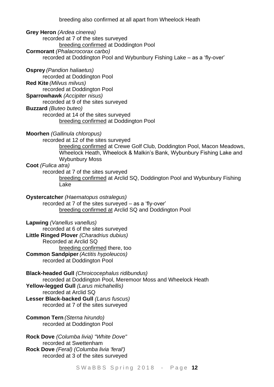breeding also confirmed at all apart from Wheelock Heath

**Grey Heron** *(Ardea cinerea)* recorded at 7 of the sites surveyed breeding confirmed at Doddington Pool **Cormorant** *(Phalacrocorax carbo)* recorded at Doddington Pool and Wybunbury Fishing Lake – as a 'fly-over'

**Osprey** *(Pandion haliaetus)* recorded at Doddington Pool **Red Kite** *(Milvus milvus)* recorded at Doddington Pool **Sparrowhawk** *(Accipiter nisus)* recorded at 9 of the sites surveyed **Buzzard** *(Buteo buteo)* recorded at 14 of the sites surveyed breeding confirmed at Doddington Pool

**Moorhen** *(Gallinula chloropus)*

recorded at 12 of the sites surveyed

breeding confirmed at Crewe Golf Club, Doddington Pool, Macon Meadows, Wheelock Heath, Wheelock & Malkin's Bank, Wybunbury Fishing Lake and Wybunbury Moss

#### **Coot** *(Fulica atra)*

recorded at 7 of the sites surveyed

breeding confirmed at Arclid SQ, Doddington Pool and Wybunbury Fishing Lake

**Oystercatcher** *(Haematopus ostralegus)* recorded at 7 of the sites surveyed – as a 'fly-over' breeding confirmed at Arclid SQ and Doddington Pool

**Lapwing** *(Vanellus vanellus)*

recorded at 6 of the sites surveyed

**Little Ringed Plover** *(Charadrius dubius)*

Recorded at Arclid SQ

breeding confirmed there, too

**Common Sandpiper** *(Actitis hypoleucos)*

recorded at Doddington Pool

**Black-headed Gull** *(Chroicocephalus ridibundus)* recorded at Doddington Pool, Meremoor Moss and Wheelock Heath

**Yellow-legged Gull** *(Larus michahellis)*

recorded at Arclid SQ

**Lesser Black-backed Gull** *(Larus fuscus)*

- recorded at 7 of the sites surveyed
- **Common Tern** *(Sterna hirundo)* recorded at Doddington Pool

**Rock Dove** *(Columba livia) "White Dove"* recorded at Swettenham **Rock Dove** *(Feral) (Columba livia 'feral')* recorded at 3 of the sites surveyed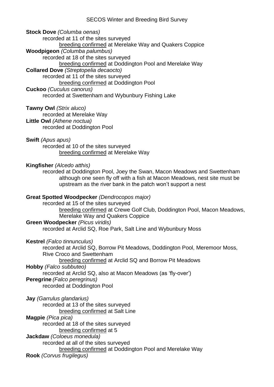**Stock Dove** *(Columba oenas)*

recorded at 11 of the sites surveyed breeding confirmed at Merelake Way and Quakers Coppice **Woodpigeon** *(Columba palumbus)* recorded at 18 of the sites surveyed breeding confirmed at Doddington Pool and Merelake Way **Collared Dove** *(Streptopelia decaocto)* recorded at 11 of the sites surveyed breeding confirmed at Doddington Pool **Cuckoo** *(Cuculus canorus)* recorded at Swettenham and Wybunbury Fishing Lake

#### **Tawny Owl** *(Strix aluco)*

recorded at Merelake Way

# **Little Owl** *(Athene noctua)*

recorded at Doddington Pool

**Swift** *(Apus apus)* recorded at 10 of the sites surveyed breeding confirmed at Merelake Way

#### **Kingfisher** *(Alcedo atthis)*

recorded at Doddington Pool, Joey the Swan, Macon Meadows and Swettenham although one seen fly off with a fish at Macon Meadows, nest site must be upstream as the river bank in the patch won't support a nest

### **Great Spotted Woodpecker** *(Dendrocopos major)*

recorded at 15 of the sites surveyed breeding confirmed at Crewe Golf Club, Doddington Pool, Macon Meadows, Merelake Way and Quakers Coppice **Green Woodpecker** *(Picus viridis)*

recorded at Arclid SQ, Roe Park, Salt Line and Wybunbury Moss

### **Kestrel** *(Falco tinnunculus)*

recorded at Arclid SQ, Borrow Pit Meadows, Doddington Pool, Meremoor Moss, Rive Croco and Swettenham breeding confirmed at Arclid SQ and Borrow Pit Meadows

### **Hobby** *(Falco subbuteo)*

recorded at Arclid SQ, also at Macon Meadows (as 'fly-over')

### **Peregrine** *(Falco peregrinus)*

recorded at Doddington Pool

## **Jay** *(Garrulus glandarius)*

recorded at 13 of the sites surveyed

breeding confirmed at Salt Line

### **Magpie** *(Pica pica)*

recorded at 18 of the sites surveyed

### breeding confirmed at 5

**Jackdaw** *(Coloeus monedula)*

recorded at all of the sites surveyed

```
breeding confirmed at Doddington Pool and Merelake Way
```
**Rook** *(Corvus frugilegus)*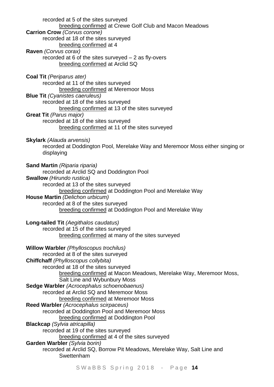recorded at 5 of the sites surveyed breeding confirmed at Crewe Golf Club and Macon Meadows **Carrion Crow** *(Corvus corone)* recorded at 18 of the sites surveyed breeding confirmed at 4 **Raven** *(Corvus corax)* recorded at 6 of the sites surveyed – 2 as fly-overs breeding confirmed at Arclid SQ **Coal Tit** *(Periparus ater)* recorded at 11 of the sites surveyed breeding confirmed at Meremoor Moss **Blue Tit** *(Cyanistes caeruleus)* recorded at 18 of the sites surveyed breeding confirmed at 13 of the sites surveyed **Great Tit** *(Parus major)* recorded at 18 of the sites surveyed breeding confirmed at 11 of the sites surveyed **Skylark** *(Alauda arvensis)* recorded at Doddington Pool, Merelake Way and Meremoor Moss either singing or displaying **Sand Martin** *(Riparia riparia)* recorded at Arclid SQ and Doddington Pool **Swallow** *(Hirundo rustica)* recorded at 13 of the sites surveyed breeding confirmed at Doddington Pool and Merelake Way **House Martin** *(Delichon urbicum)* recorded at 8 of the sites surveyed breeding confirmed at Doddington Pool and Merelake Way **Long-tailed Tit** *(Aegithalos caudatus)* recorded at 15 of the sites surveyed breeding confirmed at many of the sites surveyed **Willow Warbler** *(Phylloscopus trochilus)* recorded at 8 of the sites surveyed **Chiffchaff** *(Phylloscopus collybita)* recorded at 18 of the sites surveyed breeding confirmed at Macon Meadows, Merelake Way, Meremoor Moss, Salt Line and Wybunbury Moss **Sedge Warbler** *(Acrocephalus schoenobaenus)* recorded at Arclid SQ and Meremoor Moss breeding confirmed at Meremoor Moss **Reed Warbler** *(Acrocephalus scirpaceus)* recorded at Doddington Pool and Meremoor Moss breeding confirmed at Doddington Pool **Blackcap** *(Sylvia atricapilla)* recorded at 19 of the sites surveyed breeding confirmed at 4 of the sites surveyed **Garden Warbler** *(Sylvia borin)* recorded at Arclid SQ, Borrow Pit Meadows, Merelake Way, Salt Line and **Swettenham**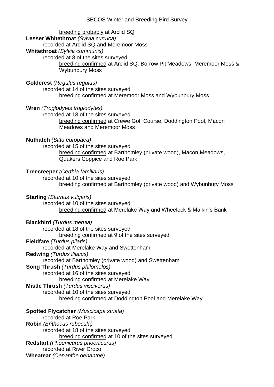SECOS Winter and Breeding Bird Survey breeding probably at Arclid SQ **Lesser Whitethroat** *(Sylvia curruca)* recorded at Arclid SQ and Meremoor Moss **Whitethroat** *(Sylvia communis)* recorded at 8 of the sites surveyed breeding confirmed at Arclid SQ, Borrow Pit Meadows, Meremoor Moss & Wybunbury Moss **Goldcrest** *(Regulus regulus)* recorded at 14 of the sites surveyed breeding confirmed at Meremoor Moss and Wybunbury Moss **Wren** *(Troglodytes troglodytes)* recorded at 18 of the sites surveyed breeding confirmed at Crewe Golf Course, Doddington Pool, Macon Meadows and Meremoor Moss **Nuthatch** *(Sitta europaea)* recorded at 15 of the sites surveyed breeding confirmed at Barthomley (private wood), Macon Meadows, Quakers Coppice and Roe Park **Treecreeper** *(Certhia familiaris)* recorded at 10 of the sites surveyed breeding confirmed at Barthomley (private wood) and Wybunbury Moss **Starling** *(Sturnus vulgaris)* recorded at 10 of the sites surveyed breeding confirmed at Merelake Way and Wheelock & Malkin's Bank **Blackbird** *(Turdus merula)* recorded at 18 of the sites surveyed breeding confirmed at 9 of the sites surveyed **Fieldfare** *(Turdus pilaris)* recorded at Merelake Way and Swettenham **Redwing** *(Turdus iliacus)* recorded at Barthomley (private wood) and Swettenham **Song Thrush** *(Turdus philomelos)* recorded at 16 of the sites surveyed breeding confirmed at Merelake Way **Mistle Thrush** *(Turdus viscivorus)* recorded at 10 of the sites surveyed breeding confirmed at Doddington Pool and Merelake Way **Spotted Flycatcher** *(Muscicapa striata)* recorded at Roe Park **Robin** *(Erithacus rubecula)* recorded at 18 of the sites surveyed breeding confirmed at 10 of the sites surveyed **Redstart** *(Phoenicurus phoenicurus)*

recorded at River Croco

**Wheatear** *(Oenanthe oenanthe)*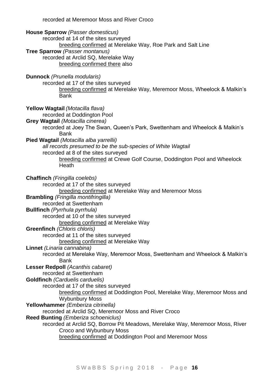recorded at Meremoor Moss and River Croco

**House Sparrow** *(Passer domesticus)* recorded at 14 of the sites surveyed breeding confirmed at Merelake Way, Roe Park and Salt Line **Tree Sparrow** *(Passer montanus)* recorded at Arclid SQ, Merelake Way breeding confirmed there also **Dunnock** *(Prunella modularis)* recorded at 17 of the sites surveyed breeding confirmed at Merelake Way, Meremoor Moss, Wheelock & Malkin's Bank **Yellow Wagtail** *(Motacilla flava)* recorded at Doddington Pool **Grey Wagtail** *(Motacilla cinerea)* recorded at Joey The Swan, Queen's Park, Swettenham and Wheelock & Malkin's Bank **Pied Wagtail** *(Motacilla alba yarrellii) all records presumed to be the sub-species of White Wagtail* recorded at 8 of the sites surveyed breeding confirmed at Crewe Golf Course, Doddington Pool and Wheelock **Heath Chaffinch** *(Fringilla coelebs)* recorded at 17 of the sites surveyed breeding confirmed at Merelake Way and Meremoor Moss **Brambling** *(Fringilla montifringilla)* recorded at Swettenham **Bullfinch** *(Pyrrhula pyrrhula)* recorded at 10 of the sites surveyed breeding confirmed at Merelake Way **Greenfinch** *(Chloris chloris)* recorded at 11 of the sites surveyed breeding confirmed at Merelake Way **Linnet** *(Linaria cannabina)* recorded at Merelake Way, Meremoor Moss, Swettenham and Wheelock & Malkin's Bank **Lesser Redpoll** *(Acanthis cabaret)* recorded at Swettenham **Goldfinch** *(Carduelis carduelis)* recorded at 17 of the sites surveyed breeding confirmed at Doddington Pool, Merelake Way, Meremoor Moss and Wybunbury Moss **Yellowhammer** *(Emberiza citrinella)* recorded at Arclid SQ, Meremoor Moss and River Croco **Reed Bunting** *(Emberiza schoeniclus)* recorded at Arclid SQ, Borrow Pit Meadows, Merelake Way, Meremoor Moss, River Croco and Wybunbury Moss breeding confirmed at Doddington Pool and Meremoor Moss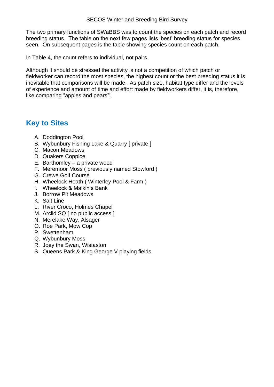The two primary functions of SWaBBS was to count the species on each patch and record breeding status. The table on the next few pages lists 'best' breeding status for species seen. On subsequent pages is the table showing species count on each patch.

In Table 4, the count refers to individual, not pairs.

Although it should be stressed the activity is not a competition of which patch or fieldworker can record the most species, the highest count or the best breeding status it is inevitable that comparisons will be made. As patch size, habitat type differ and the levels of experience and amount of time and effort made by fieldworkers differ, it is, therefore, like comparing "apples and pears"!

# <span id="page-16-0"></span>**Key to Sites**

- A. Doddington Pool
- B. Wybunbury Fishing Lake & Quarry [ private ]
- C. Macon Meadows
- D. Quakers Coppice
- E. Barthomley a private wood
- F. Meremoor Moss ( previously named Stowford )
- G. Crewe Golf Course
- H. Wheelock Heath ( Winterley Pool & Farm )
- I. Wheelock & Malkin's Bank
- J. Borrow Pit Meadows
- K. Salt Line
- L. River Croco, Holmes Chapel
- M. Arclid SQ [ no public access ]
- N. Merelake Way, Alsager
- O. Roe Park, Mow Cop
- P. Swettenham
- Q. Wybunbury Moss
- R. Joey the Swan, Wistaston
- S. Queens Park & King George V playing fields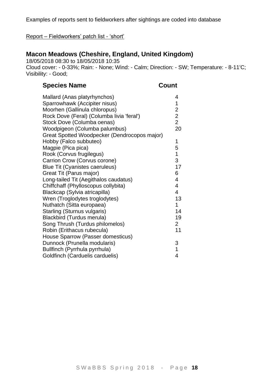Examples of reports sent to fieldworkers after sightings are coded into database

#### <span id="page-17-0"></span>Report – Fieldworkers' patch list - 'short'

## **Macon Meadows (Cheshire, England, United Kingdom)**

18/05/2018 08:30 to 18/05/2018 10:35 Cloud cover: - 0-33%; Rain: - None; Wind: - Calm; Direction: - SW; Temperature: - 8-11'C; Visibility: - Good;

## **Species Name Count**

| Mallard (Anas platyrhynchos)                 | 4                       |
|----------------------------------------------|-------------------------|
| Sparrowhawk (Accipiter nisus)                | $\mathbf 1$             |
| Moorhen (Gallinula chloropus)                | $\overline{c}$          |
| Rock Dove (Feral) (Columba livia 'feral')    | $\overline{c}$          |
| Stock Dove (Columba oenas)                   | $\overline{2}$          |
| Woodpigeon (Columba palumbus)                | 20                      |
| Great Spotted Woodpecker (Dendrocopos major) |                         |
| Hobby (Falco subbuteo)                       | 1                       |
| Magpie (Pica pica)                           | 5                       |
| Rook (Corvus frugilegus)                     | $\mathbf 1$             |
| Carrion Crow (Corvus corone)                 | 3                       |
| <b>Blue Tit (Cyanistes caeruleus)</b>        | 17                      |
| Great Tit (Parus major)                      | 6                       |
| Long-tailed Tit (Aegithalos caudatus)        | 4                       |
| Chiffchaff (Phylloscopus collybita)          | $\overline{\mathbf{4}}$ |
| Blackcap (Sylvia atricapilla)                | 4                       |
| Wren (Troglodytes troglodytes)               | 13                      |
| Nuthatch (Sitta europaea)                    | 1                       |
| <b>Starling (Sturnus vulgaris)</b>           | 14                      |
| Blackbird (Turdus merula)                    | 19                      |
| Song Thrush (Turdus philomelos)              | $\overline{2}$          |
| Robin (Erithacus rubecula)                   | 11                      |
| House Sparrow (Passer domesticus)            |                         |
| Dunnock (Prunella modularis)                 | 3                       |
| Bullfinch (Pyrrhula pyrrhula)                | $\mathbf 1$             |
| Goldfinch (Carduelis carduelis)              | 4                       |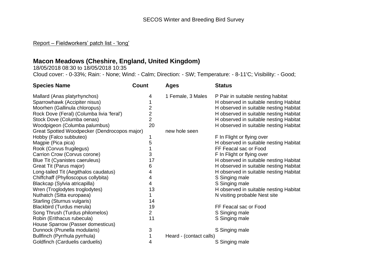#### Report – Fieldworkers' patch list - 'long'

# **Macon Meadows (Cheshire, England, United Kingdom)**

18/05/2018 08:30 to 18/05/2018 10:35

Cloud cover: - 0-33%; Rain: - None; Wind: - Calm; Direction: - SW; Temperature: - 8-11'C; Visibility: - Good;

<span id="page-18-0"></span>

| <b>Species Name</b>                          | Count          | <b>Ages</b>             | <b>Status</b>                          |
|----------------------------------------------|----------------|-------------------------|----------------------------------------|
| Mallard (Anas platyrhynchos)                 | 4              | 1 Female, 3 Males       | P Pair in suitable nesting habitat     |
| Sparrowhawk (Accipiter nisus)                |                |                         | H observed in suitable nesting Habitat |
| Moorhen (Gallinula chloropus)                | $\overline{c}$ |                         | H observed in suitable nesting Habitat |
| Rock Dove (Feral) (Columba livia 'feral')    | $\overline{2}$ |                         | H observed in suitable nesting Habitat |
| Stock Dove (Columba oenas)                   | $\overline{2}$ |                         | H observed in suitable nesting Habitat |
| Woodpigeon (Columba palumbus)                | 20             |                         | H observed in suitable nesting Habitat |
| Great Spotted Woodpecker (Dendrocopos major) |                | new hole seen           |                                        |
| Hobby (Falco subbuteo)                       |                |                         | F In Flight or flying over             |
| Magpie (Pica pica)                           | 5              |                         | H observed in suitable nesting Habitat |
| Rook (Corvus frugilegus)                     |                |                         | FF Feacal sac or Food                  |
| Carrion Crow (Corvus corone)                 | 3              |                         | F In Flight or flying over             |
| Blue Tit (Cyanistes caeruleus)               | 17             |                         | H observed in suitable nesting Habitat |
| Great Tit (Parus major)                      | 6              |                         | H observed in suitable nesting Habitat |
| Long-tailed Tit (Aegithalos caudatus)        | 4              |                         | H observed in suitable nesting Habitat |
| Chiffchaff (Phylloscopus collybita)          | 4              |                         | S Singing male                         |
| Blackcap (Sylvia atricapilla)                | 4              |                         | S Singing male                         |
| Wren (Troglodytes troglodytes)               | 13             |                         | H observed in suitable nesting Habitat |
| Nuthatch (Sitta europaea)                    | 1              |                         | N visiting probable Nest site          |
| Starling (Sturnus vulgaris)                  | 14             |                         |                                        |
| Blackbird (Turdus merula)                    | 19             |                         | FF Feacal sac or Food                  |
| Song Thrush (Turdus philomelos)              | $\overline{2}$ |                         | S Singing male                         |
| Robin (Erithacus rubecula)                   | 11             |                         | S Singing male                         |
| House Sparrow (Passer domesticus)            |                |                         |                                        |
| Dunnock (Prunella modularis)                 | 3              |                         | S Singing male                         |
| Bullfinch (Pyrrhula pyrrhula)                |                | Heard - (contact calls) |                                        |
| Goldfinch (Carduelis carduelis)              | 4              |                         | S Singing male                         |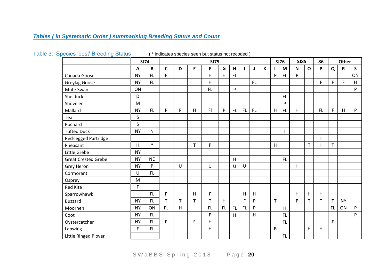## *Tables ( in Systematic Order ) summarising Breeding Status and Count*

<span id="page-19-1"></span><span id="page-19-0"></span>

|                            |           | <b>SJ74</b>  |              |    |   | <b>SJ75</b>             |    |           |     |    |   |   | <b>SJ76</b> | <b>SJ85</b>               |              | 86  |             | Other       |              |
|----------------------------|-----------|--------------|--------------|----|---|-------------------------|----|-----------|-----|----|---|---|-------------|---------------------------|--------------|-----|-------------|-------------|--------------|
|                            | A         | B            | $\mathsf{C}$ | D  | E | F                       | G  | H         |     | J  | К | L | M           | $\boldsymbol{\mathsf{N}}$ | $\mathbf{o}$ | P   | Q           | $\mathbf R$ | $\mathsf{s}$ |
| Canada Goose               | <b>NY</b> | FL.          | F            |    |   | $\overline{\mathsf{H}}$ | H  | FL        |     |    |   | P | <b>FL</b>   | P                         |              |     |             |             | ON           |
| Greylag Goose              | <b>NY</b> | FL.          |              |    |   | H                       |    |           |     | FL |   |   |             |                           |              | F   | F           | F           | H            |
| Mute Swan                  | ON        |              |              |    |   | FL.                     |    | P         |     |    |   |   |             |                           |              |     |             |             | ${\sf P}$    |
| Shelduck                   | D         |              |              |    |   |                         |    |           |     |    |   |   | <b>FL</b>   |                           |              |     |             |             |              |
| Shoveler                   | M         |              |              |    |   |                         |    |           |     |    |   |   | P           |                           |              |     |             |             |              |
| Mallard                    | <b>NY</b> | FL.          | P            | P  | н | F                       | P  | <b>FL</b> | FL. | FL |   | H | FL          | H                         |              | FL. | F           | H           | P            |
| Teal                       | S         |              |              |    |   |                         |    |           |     |    |   |   |             |                           |              |     |             |             |              |
| Pochard                    | S         |              |              |    |   |                         |    |           |     |    |   |   |             |                           |              |     |             |             |              |
| <b>Tufted Duck</b>         | <b>NY</b> | $\mathsf{N}$ |              |    |   |                         |    |           |     |    |   |   | T           |                           |              |     |             |             |              |
| Red-legged Partridge       |           |              |              |    |   |                         |    |           |     |    |   |   |             |                           |              | H   |             |             |              |
| Pheasant                   | H         | $\ast$       |              |    | T | P                       |    |           |     |    |   | H |             |                           | $\mathsf{T}$ | H   | T           |             |              |
| Little Grebe               | <b>NY</b> |              |              |    |   |                         |    |           |     |    |   |   |             |                           |              |     |             |             |              |
| <b>Great Crested Grebe</b> | <b>NY</b> | <b>NE</b>    |              |    |   |                         |    | H         |     |    |   |   | <b>FL</b>   |                           |              |     |             |             |              |
| Grey Heron                 | <b>NY</b> | P            |              | U  |   | $\cup$                  |    | U         | U   |    |   |   |             | H                         |              |     |             |             |              |
| Cormorant                  | U         | FL.          |              |    |   |                         |    |           |     |    |   |   |             |                           |              |     |             |             |              |
| Osprey                     | M         |              |              |    |   |                         |    |           |     |    |   |   |             |                           |              |     |             |             |              |
| <b>Red Kite</b>            | F         |              |              |    |   |                         |    |           |     |    |   |   |             |                           |              |     |             |             |              |
| Sparrowhawk                |           | FL.          | P            |    | Н | F                       |    |           | H   | H  |   |   |             | H                         | H            | H   |             |             |              |
| <b>Buzzard</b>             | <b>NY</b> | FL.          | $\mathsf{T}$ | T. | T | T                       | H  |           | F.  | P  |   | T |             | P                         |              | T.  | T           | <b>NY</b>   |              |
| Moorhen                    | <b>NY</b> | ON           | FL.          | H  |   | <b>FL</b>               | FL | <b>FL</b> | FL. | P  |   |   | H           |                           |              |     | FL.         | ON          | P            |
| Coot                       | <b>NY</b> | <b>FL</b>    |              |    |   | P                       |    | H         |     | H  |   |   | <b>FL</b>   |                           |              |     |             |             | P            |
| Oystercatcher              | <b>NY</b> | FL.          | $\mathsf F$  |    | F | H                       |    |           |     |    |   |   | <b>FL</b>   |                           |              |     | $\mathsf F$ |             |              |
| Lapwing                    | F         | FL.          |              |    |   | H                       |    |           |     |    |   | B |             |                           | H            | Н   |             |             |              |
| Little Ringed Plover       |           |              |              |    |   |                         |    |           |     |    |   |   | <b>FL</b>   |                           |              |     |             |             |              |

### Table 3: Species 'best' Breeding Status (\* indicates species seen but status not recoded)

S W a B B S S p ring 2018 - Page 20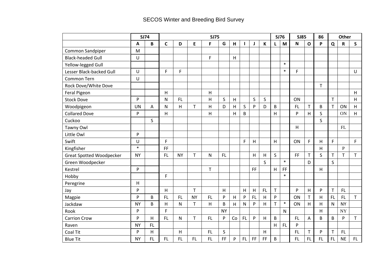# SECOS Winter and Breeding Bird Survey

|                                 |           | <b>SJ74</b> | <b>SJ75</b>  |           |             |           |           |    |                |           |           |   | <b>SJ76</b>  | <b>SJ85</b> |              | 86           | <b>Other</b> |              |             |
|---------------------------------|-----------|-------------|--------------|-----------|-------------|-----------|-----------|----|----------------|-----------|-----------|---|--------------|-------------|--------------|--------------|--------------|--------------|-------------|
|                                 | A         | B           | $\mathsf{C}$ | D         | E           | F         | G         | н  |                | J         | К         | L | M            | $\mathbf N$ | $\mathbf{o}$ | P            | Q            | ${\sf R}$    | S           |
| Common Sandpiper                | M         |             |              |           |             |           |           |    |                |           |           |   |              |             |              |              |              |              |             |
| <b>Black-headed Gull</b>        | $\cup$    |             |              |           |             | F         |           | H  |                |           |           |   |              |             |              |              |              |              |             |
| Yellow-legged Gull              |           |             |              |           |             |           |           |    |                |           |           |   | $\ast$       |             |              |              |              |              |             |
| Lesser Black-backed Gull        | $\cup$    |             | F            | F         |             |           |           |    |                |           |           |   | $\ast$       | F           |              |              |              |              | U           |
| Common Tern                     | U         |             |              |           |             |           |           |    |                |           |           |   |              |             |              |              |              |              |             |
| Rock Dove/White Dove            |           |             |              |           |             |           |           |    |                |           |           |   |              |             |              | $\mathsf{T}$ |              |              |             |
| Feral Pigeon                    |           |             | H            |           |             | H         |           |    |                |           |           |   |              |             |              |              |              |              | H           |
| <b>Stock Dove</b>               | P         |             | N            | FL.       |             | H         | S         | H  |                | $\sf S$   | S         |   |              | ON          |              |              | T            |              | H           |
| Woodpigeon                      | <b>UN</b> | Α           | N            | H         | T           | Η         | D         | Н  | S              | ${\sf P}$ | D         | B |              | FL.         | T            | B            | $\mathsf T$  | ON           | H           |
| <b>Collared Dove</b>            | P         |             | H            |           |             | H         |           | H  | B              |           |           | H |              | P           | H            | S            |              | ON           | H           |
| Cuckoo                          |           | $\sf S$     |              |           |             |           |           |    |                |           |           |   |              |             |              | S            |              |              |             |
| Tawny Owl                       |           |             |              |           |             |           |           |    |                |           |           |   |              | H           |              |              |              | FL           |             |
| Little Owl                      | P         |             |              |           |             |           |           |    |                |           |           |   |              |             |              |              |              |              |             |
| Swift                           | U         |             | F            |           |             |           |           |    | $\overline{F}$ | H         |           | H |              | ON          | F            | H            | F            |              | F.          |
| Kingfisher                      | $\ast$    |             | FF           |           |             |           |           |    |                |           |           |   |              |             |              | H            |              | $\, {\bf P}$ |             |
| <b>Great Spotted Woodpecker</b> | <b>NY</b> |             | FL           | <b>NY</b> | $\mathsf T$ | N         | FL        |    |                | H         | Н         | S |              | FF          | $\mathsf{T}$ | S            | $\mathsf T$  | $\mathsf{T}$ | $\mathsf T$ |
| Green Woodpecker                |           |             |              |           |             |           |           |    |                |           | S         |   | $\ast$       |             | D            |              | S            |              |             |
| Kestrel                         | P         |             |              |           |             | T         |           |    |                | FF.       |           | H | FF           |             |              | H            |              |              |             |
| Hobby                           |           |             | F            |           |             |           |           |    |                |           |           |   | $\ast$       |             |              |              |              |              |             |
| Peregrine                       | H         |             |              |           |             |           |           |    |                |           |           |   |              |             |              |              |              |              |             |
| Jay                             | P         |             | H            |           | T           |           | H         |    | H              | H         | <b>FL</b> | T |              | P           | H            | $\mathsf{P}$ | $\mathsf T$  | FL           |             |
| Magpie                          | P         | B           | FL.          | FL.       | <b>NY</b>   | FL.       | P         | H  | $\mathsf{P}$   | <b>FL</b> | H         | P |              | ON          | $\mathsf T$  | H            | <b>FL</b>    | FL.          | $\mathsf T$ |
| Jackdaw                         | <b>NY</b> | B           | H            | N         | $\mathsf T$ | H         | B         | H  | N              | ${\sf P}$ | $\sf H$   | T | $\ast$       | ON          | H            | H            | N            | <b>NY</b>    |             |
| Rook                            | P         |             | F            |           |             |           | <b>NY</b> |    |                |           |           |   | $\mathsf{N}$ |             |              | H            |              | <b>NY</b>    |             |
| <b>Carrion Crow</b>             | P         | H           | FL.          | N         | $\mathsf T$ | <b>FL</b> | P         | Co | <b>FL</b>      | ${\sf P}$ | $\sf H$   | B |              | FL          | A            | B            | B            | ${\sf P}$    | $\mathsf T$ |
| Raven                           | <b>NY</b> | FL.         |              |           |             |           |           |    |                |           |           | H | <b>FL</b>    | P           |              |              |              |              |             |
| Coal Tit                        | P         | H           |              | Н         |             | <b>FL</b> | S         |    |                |           | $\sf H$   |   |              | <b>FL</b>   | T            | $\mathsf{P}$ | $\mathsf T$  | FL           |             |
| <b>Blue Tit</b>                 | <b>NY</b> | FL.         | FL           | <b>FL</b> | <b>FL</b>   | FL.       | FF.       | P  | FL             | FF        | FF        | B |              | FL.         | <b>FL</b>    | <b>FL</b>    | <b>FL</b>    | <b>NE</b>    | FL          |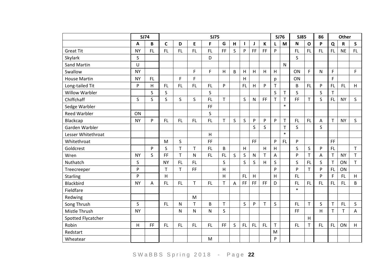|                       | <b>SJ74</b>  |     | <b>SJ75</b>  |           |              |           |           |   |           |              |              | <b>SJ76</b>  |              | <b>SJ85</b> |              | 86        | Other        |             |                           |
|-----------------------|--------------|-----|--------------|-----------|--------------|-----------|-----------|---|-----------|--------------|--------------|--------------|--------------|-------------|--------------|-----------|--------------|-------------|---------------------------|
|                       | A            | B   | $\mathsf{C}$ | D         | E            | F         | G         | H | ш         | J            | $\mathsf K$  | L            | M            | N           | $\mathbf{o}$ | P         | Q            | $\mathbf R$ | $\mathsf{S}$              |
| <b>Great Tit</b>      | <b>NY</b>    | FL. | FL           | <b>FL</b> | FL.          | FL.       | FF        | S | P         | FF           | FF           | P            |              | <b>FL</b>   | <b>FL</b>    | <b>FL</b> | <b>FL</b>    | <b>NE</b>   | FL.                       |
| Skylark               | $\mathsf{S}$ |     |              |           |              | D         |           |   |           |              |              |              |              | S           |              |           |              |             |                           |
| Sand Martin           | U            |     |              |           |              |           |           |   |           |              |              |              | $\mathsf{N}$ |             |              |           |              |             |                           |
| Swallow               | <b>NY</b>    |     |              |           | F            | F.        | H         | B | H         | H            | H            | H            |              | ON          | F            | N         | F            |             | F.                        |
| <b>House Martin</b>   | <b>NY</b>    | FL. |              | F         | F            |           |           |   | н         |              |              | р            |              | ON          |              |           | F            |             |                           |
| Long-tailed Tit       | P            | H   | FL.          | FL        | FL.          | FL.       | P         |   | <b>FL</b> | H            | P            | T            |              | B           | <b>FL</b>    | P         | <b>FL</b>    | FL.         | H                         |
| <b>Willow Warbler</b> |              | S   | S            |           |              | S         |           |   |           |              |              | S            | T            | S           |              | S         | T            |             |                           |
| Chiffchaff            | $\mathsf{S}$ | S   | S.           | S         | S            | FL.       | T.        |   | S         | $\mathsf{N}$ | FF           | $\mathsf{T}$ | T            | FF          | T            | S         | <b>FL</b>    | <b>NY</b>   | S.                        |
| Sedge Warbler         |              |     |              |           |              | FF        |           |   |           |              |              |              | $\ast$       |             |              |           |              |             |                           |
| <b>Reed Warbler</b>   | ON           |     |              |           |              | S         |           |   |           |              |              |              |              |             |              |           |              |             |                           |
| Blackcap              | <b>NY</b>    | P   | <b>FL</b>    | <b>FL</b> | <b>FL</b>    | <b>FL</b> | T         | S | $\sf S$   | P            | P            | P            | $\mathsf T$  | <b>FL</b>   | FL           | Α         | T            | <b>NY</b>   | S.                        |
| Garden Warbler        |              |     |              |           |              |           |           |   |           | S            | S            |              | T            | S           |              | S         |              |             |                           |
| Lesser Whitethroat    |              |     |              |           |              | H         |           |   |           |              |              |              | $\ast$       |             |              |           |              |             |                           |
| Whitethroat           |              |     | M            | S         |              | <b>FF</b> |           |   |           | <b>FF</b>    |              | P            | FL.          | ${\sf P}$   |              |           | FF           |             |                           |
| Goldcrest             |              | P   | S            | T         | $\mathsf{T}$ | <b>FL</b> | B         |   | H         |              | H            | H            |              | S           | $\mathsf S$  | P         | <b>FL</b>    |             | $\mathsf T$               |
| Wren                  | <b>NY</b>    | S   | <b>FF</b>    | T         | $\mathsf{N}$ | FL        | <b>FL</b> | S | S         | $\mathsf{N}$ | $\mathsf{T}$ | A            |              | ${\sf P}$   | $\mathsf{T}$ | Α         | $\mathsf{T}$ | <b>NY</b>   | T.                        |
| Nuthatch              | S            |     | <b>NY</b>    | <b>FL</b> | <b>FL</b>    |           | S         |   | S         | S            | H            | S            |              | $\mathsf S$ | <b>FL</b>    | S         | $\top$       | ON          | T                         |
| Treecreeper           | P            |     | T            | T.        | <b>FF</b>    |           | H         |   |           |              |              | P            |              | P           | $\mathsf{T}$ | P         | <b>FL</b>    | ON          |                           |
| <b>Starling</b>       | P            |     | H            |           |              |           | H         |   | <b>FL</b> | H            |              | H            |              | FL.         |              | P         | F            | FL.         | H                         |
| Blackbird             | <b>NY</b>    | Α   | FL.          | FL        | $\mathsf T$  | <b>FL</b> | T         | Α | FF        | FF.          | FF           | D            |              | FL.         | FL           | <b>FL</b> | <b>FL</b>    | FL.         | B                         |
| Fieldfare             |              |     |              |           |              |           |           |   |           |              |              |              |              | $\ast$      |              |           |              |             |                           |
| Redwing               |              |     |              |           | M            |           |           |   |           |              |              |              |              |             |              |           |              |             |                           |
| Song Thrush           | S            |     | <b>FL</b>    | N         | T.           | B         | T         |   | S         | P            | T            | S            |              | <b>FL</b>   | $\mathsf{T}$ | S         | $\mathsf T$  | FL.         | S                         |
| Mistle Thrush         | <b>NY</b>    |     |              | N         | $\mathsf{N}$ | N         | S         |   |           |              |              |              |              | FF          |              | H         | T            | T.          | $\boldsymbol{\mathsf{A}}$ |
| Spotted Flycatcher    |              |     |              |           |              |           |           |   |           |              |              |              |              |             | H            |           |              |             |                           |
| Robin                 | H            | FF. | FL.          | FL        | FL.          | FL        | FF.       | S | <b>FL</b> | FL.          | <b>FL</b>    | T            |              | <b>FL</b>   | $\mathsf{T}$ | <b>FL</b> | FL           | ON          | H                         |
| Redstart              |              |     |              |           |              |           |           |   |           |              |              | M            |              |             |              |           |              |             |                           |
| Wheatear              |              |     |              |           |              | M         |           |   |           |              |              | P            |              |             |              |           |              |             |                           |

S W a B B S S p r in g 2018 - Page 22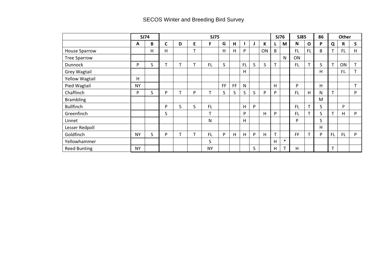# SECOS Winter and Breeding Bird Survey

|                       | <b>SJ74</b> |   | <b>SJ75</b>  |                 |    |           |    |    |              | <b>SJ76</b> |    | <b>SJ85</b> |        | 86        | Other        |   |              |            |                 |
|-----------------------|-------------|---|--------------|-----------------|----|-----------|----|----|--------------|-------------|----|-------------|--------|-----------|--------------|---|--------------|------------|-----------------|
|                       | A           | B | С            | D               | E  | F         | G  | н  |              |             | К  | L           | M      | N         | $\mathbf 0$  | P | Q            | R          | S.              |
| House Sparrow         |             | н | н            |                 |    |           | H  | н  | P            |             | ON | B           |        | <b>FL</b> | <b>FL</b>    | B | T            | FL.        | н               |
| <b>Tree Sparrow</b>   |             |   |              |                 |    |           |    |    |              |             |    |             | N      | ON        |              |   |              |            |                 |
| <b>Dunnock</b>        | P           | S | $\mathbf{r}$ | $\mathbf{\tau}$ | ᠇  | <b>FL</b> | S  |    | <b>FL</b>    | S.          | S  | T.          |        | FL.       | T.           | S | T            | ON         | T               |
| Grey Wagtail          |             |   |              |                 |    |           |    |    | н            |             |    |             |        |           |              | н |              | ${\rm FL}$ | $\mathbf{r}$    |
| <b>Yellow Wagtail</b> | н           |   |              |                 |    |           |    |    |              |             |    |             |        |           |              |   |              |            |                 |
| Pied Wagtail          | <b>NY</b>   |   |              |                 |    |           | FF | FF | $\mathsf{N}$ |             |    | H           |        | P         |              | н |              |            | $\mathbf{\tau}$ |
| Chaffinch             | P           | S | P            | $\mathbf \tau$  | P. | т         | S  | S  | S            | S           | P  | P           |        | FL.       | H            | N | T.           |            | P               |
| <b>Brambling</b>      |             |   |              |                 |    |           |    |    |              |             |    |             |        |           |              | M |              |            |                 |
| <b>Bullfinch</b>      |             |   | P            | S               | S  | <b>FL</b> |    |    | н            | P           |    |             |        | <b>FL</b> | $\mathsf{T}$ | S |              | P          |                 |
| Greenfinch            |             |   | S            |                 |    | т         |    |    | P            |             | н  | P           |        | <b>FL</b> | T            | S | T            | н          | P               |
| Linnet                |             |   |              |                 |    | N         |    |    | н            |             |    |             |        | P         |              | S |              |            |                 |
| Lesser Redpoll        |             |   |              |                 |    |           |    |    |              |             |    |             |        |           |              | н |              |            |                 |
| Goldfinch             | <b>NY</b>   | S | P            | $\mathbf{\tau}$ |    | <b>FL</b> | P  | H  | Н            | P           | H  | T           |        | <b>FF</b> | $\mathsf{T}$ | P | <b>FL</b>    | FL.        | P               |
| Yellowhammer          |             |   |              |                 |    | S         |    |    |              |             |    | Н           | $\ast$ |           |              |   |              |            |                 |
| <b>Reed Bunting</b>   | <b>NY</b>   |   |              |                 |    | <b>NY</b> |    |    |              | S           |    | н           |        | H         |              |   | $\mathbf{T}$ |            |                 |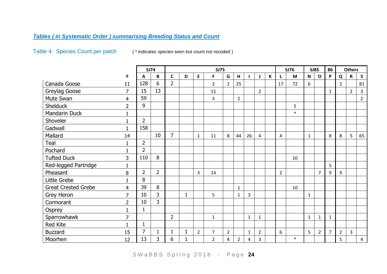## *Tables ( in Systematic Order ) summarising Breeding Status and Count*

Table 4: Species Count per patch (\* indicates species seen but count not recoded )

<span id="page-23-1"></span><span id="page-23-0"></span>

|                            |                | <b>SJ74</b>    |                | <b>SJ75</b>    |              |                |                |                |                |              |                |              |                | <b>SJ76</b> |              |                |                | <b>SJ85</b>    |                |                         |  | <b>Others</b> |  |  |
|----------------------------|----------------|----------------|----------------|----------------|--------------|----------------|----------------|----------------|----------------|--------------|----------------|--------------|----------------|-------------|--------------|----------------|----------------|----------------|----------------|-------------------------|--|---------------|--|--|
|                            | $\#$           | A              | $\pmb B$       | $\mathsf{C}$   | D            | $\mathsf E$    | F              | G              | H              | $\mathbf{I}$ | J              | $\mathsf{K}$ |                | M           | $\mathsf{N}$ | $\mathbf O$    | P              | $\mathbf Q$    | $\mathbf R$    | $\mathsf{s}$            |  |               |  |  |
| Canada Goose               | 11             | 128            | 6              | $\overline{2}$ |              |                | $\overline{2}$ | $\overline{2}$ | 25             |              |                |              | 17             | 72          | 6            |                |                | $\overline{2}$ |                | 81                      |  |               |  |  |
| Greylag Goose              | $\overline{7}$ | 15             | 13             |                |              |                | 15             |                |                |              | $\overline{2}$ |              |                |             |              |                | $\mathbf{1}$   |                | $\overline{2}$ | $\overline{3}$          |  |               |  |  |
| Mute Swan                  | $\overline{4}$ | 59             |                |                |              |                | 3              |                | $\overline{2}$ |              |                |              |                |             |              |                |                |                |                | $\overline{2}$          |  |               |  |  |
| <b>Shelduck</b>            | $\overline{2}$ | 9              |                |                |              |                |                |                |                |              |                |              |                | 5           |              |                |                |                |                |                         |  |               |  |  |
| Mandarin Duck              | $\mathbf{1}$   |                |                |                |              |                |                |                |                |              |                |              |                | $\ast$      |              |                |                |                |                |                         |  |               |  |  |
| Shoveler                   |                | $\overline{2}$ |                |                |              |                |                |                |                |              |                |              |                |             |              |                |                |                |                |                         |  |               |  |  |
| Gadwall                    |                | 158            |                |                |              |                |                |                |                |              |                |              |                |             |              |                |                |                |                |                         |  |               |  |  |
| Mallard                    | 14             |                | 10             | $\overline{7}$ |              | $\mathbf{1}$   | 11             | 8              | 44             | 26           | 4              |              | $\overline{4}$ |             | $\mathbf{1}$ |                | 8              | 8              | 5              | 65                      |  |               |  |  |
| Teal                       |                | $\overline{2}$ |                |                |              |                |                |                |                |              |                |              |                |             |              |                |                |                |                |                         |  |               |  |  |
| Pochard                    |                | $\overline{2}$ |                |                |              |                |                |                |                |              |                |              |                |             |              |                |                |                |                |                         |  |               |  |  |
| <b>Tufted Duck</b>         | 3              | 110            | 8              |                |              |                |                |                |                |              |                |              |                | 10          |              |                |                |                |                |                         |  |               |  |  |
| Red-legged Partridge       | $\mathbf{1}$   |                |                |                |              |                |                |                |                |              |                |              |                |             |              |                | 5              |                |                |                         |  |               |  |  |
| Pheasant                   | 8              | $\overline{2}$ | $\overline{2}$ |                |              | 3              | 14             |                |                |              |                |              | $\overline{2}$ |             |              | $\overline{7}$ | 9              | 9              |                |                         |  |               |  |  |
| Little Grebe               | 1              | 8              |                |                |              |                |                |                |                |              |                |              |                |             |              |                |                |                |                |                         |  |               |  |  |
| <b>Great Crested Grebe</b> | $\overline{4}$ | 39             | 8              |                |              |                |                |                | 1              |              |                |              |                | 10          |              |                |                |                |                |                         |  |               |  |  |
| Grey Heron                 | $\overline{7}$ | 10             | 3              |                | $\mathbf{1}$ |                | 5              |                | $\mathbf{1}$   | 3            |                |              |                |             | $\mathbf{1}$ |                |                |                |                |                         |  |               |  |  |
| Cormorant                  | $\overline{2}$ | 10             | $\overline{3}$ |                |              |                |                |                |                |              |                |              |                |             |              |                |                |                |                |                         |  |               |  |  |
| Osprey                     |                | $\mathbf{1}$   |                |                |              |                |                |                |                |              |                |              |                |             |              |                |                |                |                |                         |  |               |  |  |
| Sparrowhawk                | $\overline{7}$ |                |                | $\overline{2}$ |              |                | $\mathbf{1}$   |                |                | $\mathbf{1}$ | $\mathbf{1}$   |              |                |             | $\mathbf{1}$ | $\mathbf{1}$   | $\mathbf{1}$   |                |                |                         |  |               |  |  |
| <b>Red Kite</b>            |                | $\mathbf{1}$   |                |                |              |                |                |                |                |              |                |              |                |             |              |                |                |                |                |                         |  |               |  |  |
| <b>Buzzard</b>             | 15             | 7              | 1              |                | $\mathbf{1}$ | $\overline{2}$ | $\overline{7}$ | $\overline{2}$ |                | $\mathbf{1}$ | $\overline{2}$ |              | 6              |             | 5            | $\overline{2}$ | $\overline{7}$ | $\overline{2}$ | 3              |                         |  |               |  |  |
| Moorhen                    | 12             | 13             | 3              | 6              |              |                | $\overline{2}$ | 4              | $\overline{2}$ | 4            | 3              |              |                | $\ast$      |              |                |                | 5              |                | $\overline{\mathbf{4}}$ |  |               |  |  |

S W a B B S S p ring 2018 - Page 24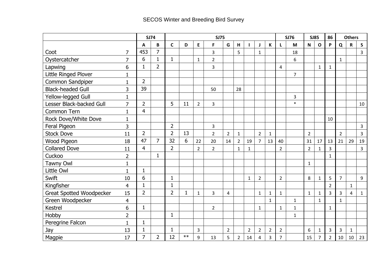|                                 |                |                | <b>SJ74</b>    | <b>SJ75</b>    |      |                |                |                |                |                |                |                |                | <b>SJ76</b>    | <b>SJ85</b>    |                | 86             | <b>Others</b>  |              |                |
|---------------------------------|----------------|----------------|----------------|----------------|------|----------------|----------------|----------------|----------------|----------------|----------------|----------------|----------------|----------------|----------------|----------------|----------------|----------------|--------------|----------------|
|                                 |                | A              | B              | $\mathsf{C}$   | D    | E              | F              | G              | H              | L              | J              | К              | L              | M              | $\mathsf{N}$   | $\mathbf{o}$   | P              | $\mathbf Q$    | $\mathbf R$  | $\mathsf S$    |
| Coot                            | $\overline{7}$ | 453            | $\overline{7}$ |                |      |                | 3              |                | 5              |                | $\mathbf{1}$   |                |                | 18             |                |                |                |                |              | 3              |
| Oystercatcher                   | $\overline{7}$ | 6              | $\mathbf{1}$   | $\mathbf{1}$   |      | $\mathbf{1}$   | $\overline{2}$ |                |                |                |                |                |                | 6              |                |                |                | $\mathbf{1}$   |              |                |
| Lapwing                         | 6              | $\mathbf{1}$   | $\overline{2}$ |                |      |                | 3              |                |                |                |                |                | $\overline{4}$ |                |                | $\mathbf{1}$   | $\mathbf{1}$   |                |              |                |
| Little Ringed Plover            | 1              |                |                |                |      |                |                |                |                |                |                |                |                | $\overline{7}$ |                |                |                |                |              |                |
| Common Sandpiper                | 1              | $\overline{2}$ |                |                |      |                |                |                |                |                |                |                |                |                |                |                |                |                |              |                |
| <b>Black-headed Gull</b>        | 3              | 39             |                |                |      |                | 50             |                | 28             |                |                |                |                |                |                |                |                |                |              |                |
| Yellow-legged Gull              | $\mathbf{1}$   |                |                |                |      |                |                |                |                |                |                |                |                | 3              |                |                |                |                |              |                |
| Lesser Black-backed Gull        | $\overline{7}$ | $\overline{2}$ |                | 5              | 11   | $\overline{2}$ | 3              |                |                |                |                |                |                | $\ast$         |                |                |                |                |              | 10             |
| <b>Common Tern</b>              | $\mathbf{1}$   | 4              |                |                |      |                |                |                |                |                |                |                |                |                |                |                |                |                |              |                |
| Rock Dove/White Dove            | $\mathbf{1}$   |                |                |                |      |                |                |                |                |                |                |                |                |                |                |                | 10             |                |              |                |
| Feral Pigeon                    | 3              |                |                | $\overline{2}$ |      |                | 3              |                |                |                |                |                |                |                |                |                |                |                |              | 3              |
| <b>Stock Dove</b>               | 11             | $\overline{2}$ |                | $\overline{2}$ | 13   |                | $\overline{2}$ | $\overline{2}$ | $\mathbf{1}$   |                | $\overline{2}$ | $\mathbf{1}$   |                |                | $\overline{2}$ |                |                | $\overline{2}$ |              | $\overline{3}$ |
| Wood Pigeon                     | 18             | 47             | $\overline{7}$ | 32             | 6    | 22             | 20             | 14             | $\overline{2}$ | 19             | $\overline{7}$ | 13             | 40             |                | 31             | 17             | 13             | 21             | 29           | 19             |
| <b>Collared Dove</b>            | 11             | 4              |                | $\overline{2}$ |      | $\overline{2}$ | $\overline{2}$ |                | $\mathbf{1}$   | 1              |                |                | $\overline{2}$ |                | $\overline{2}$ | 1              | $\overline{3}$ |                |              | 3              |
| Cuckoo                          | $\overline{2}$ |                | $\mathbf{1}$   |                |      |                |                |                |                |                |                |                |                |                |                |                | $\mathbf{1}$   |                |              |                |
| Tawny Owl                       | $\mathbf{1}$   |                |                |                |      |                |                |                |                |                |                |                |                |                | $\mathbf{1}$   |                |                |                |              |                |
| Little Owl                      | $\mathbf{1}$   | $\mathbf{1}$   |                |                |      |                |                |                |                |                |                |                |                |                |                |                |                |                |              |                |
| Swift                           | 10             | 6              |                | $\mathbf{1}$   |      |                |                |                |                | 1              | $\overline{2}$ |                | $\overline{2}$ |                | 8              | $\mathbf{1}$   | 5              | $\overline{7}$ |              | 9              |
| Kingfisher                      | $\overline{4}$ | $\mathbf{1}$   |                | $\mathbf{1}$   |      |                |                |                |                |                |                |                |                |                |                |                | $\overline{2}$ |                | $\mathbf{1}$ |                |
| <b>Great Spotted Woodpecker</b> | 15             | $\overline{2}$ |                | $\overline{2}$ | 1    | $\mathbf{1}$   | 3              | 4              |                |                | $\mathbf{1}$   | $\mathbf{1}$   | $\mathbf{1}$   |                | $\mathbf{1}$   | 1              | $\overline{3}$ | 3              | 4            | $\mathbf{1}$   |
| Green Woodpecker                | $\overline{4}$ |                |                |                |      |                |                |                |                |                |                | $\mathbf{1}$   |                | $\mathbf{1}$   |                | $\mathbf{1}$   |                | $\mathbf{1}$   |              |                |
| <b>Kestrel</b>                  | 6              | $\mathbf{1}$   |                |                |      |                | $\overline{2}$ |                |                |                | $\mathbf{1}$   |                | $\mathbf{1}$   | $\mathbf{1}$   |                |                | $\mathbf{1}$   |                |              |                |
| Hobby                           | $\overline{2}$ |                |                | $\mathbf{1}$   |      |                |                |                |                |                |                |                |                | $\mathbf{1}$   |                |                |                |                |              |                |
| Peregrine Falcon                | 1              | $\mathbf{1}$   |                |                |      |                |                |                |                |                |                |                |                |                |                |                |                |                |              |                |
| Jay                             | 13             | $\mathbf{1}$   |                | $\mathbf{1}$   |      | 3              |                | $\overline{2}$ |                | $\overline{2}$ | $\overline{2}$ | $\overline{2}$ | $\overline{2}$ |                | 6              | $\mathbf{1}$   | 3              | 3              | $\mathbf{1}$ |                |
| Magpie                          | 17             | $\overline{7}$ | $\overline{2}$ | 12             | $**$ | 9              | 13             | 5              | $\overline{2}$ | 14             | 4              | $\overline{3}$ | $\overline{7}$ |                | 15             | $\overline{7}$ | $\overline{2}$ | 10             | 10           | 23             |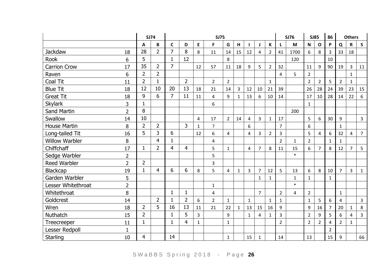|                       |                | <b>SJ74</b>    |                | <b>SJ75</b>    |                |                |                |                |              |                |                |                |                | <b>SJ76</b>  |                | <b>SJ85</b>    |                | <b>Others</b>  |                |                |
|-----------------------|----------------|----------------|----------------|----------------|----------------|----------------|----------------|----------------|--------------|----------------|----------------|----------------|----------------|--------------|----------------|----------------|----------------|----------------|----------------|----------------|
|                       |                | $\mathbf{A}$   | B              | C              | D              | E              | F              | G              | H            |                | J              | $\mathbf K$    |                | M            | $\mathsf{N}$   | O              | P              | Q              | $\mathsf{R}$   | $\mathsf{s}$   |
| <b>Jackdaw</b>        | 18             | 28             | $\overline{2}$ | $\overline{7}$ | 8              | 8              | 11             | 14             | 15           | 12             | $\overline{4}$ | $\overline{2}$ | 41             | 1700         | 6              | 8              | 3              | 33             | 18             |                |
| <b>Rook</b>           | 6              | 5              |                | $\mathbf{1}$   | 12             |                |                | 8              |              |                |                |                |                | 120          |                |                | 10             |                |                |                |
| <b>Carrion Crow</b>   | 17             | 35             | $\overline{2}$ | $\overline{7}$ |                | 12             | 57             | 11             | 18           | 9              | 5              | $\overline{2}$ | 32             |              | 11             | 9              | 90             | 19             | $\overline{3}$ | 11             |
| Raven                 | 6              | $\overline{2}$ | $\overline{2}$ |                |                |                |                |                |              |                |                |                | 4              | 5            | $\overline{2}$ |                |                |                | $\mathbf{1}$   |                |
| Coal Tit              | 11             | $\overline{2}$ | $\mathbf{1}$   |                | $\overline{2}$ |                | $\overline{2}$ | $\overline{2}$ |              |                |                | $\mathbf{1}$   |                |              | $\overline{2}$ | $\overline{2}$ | 5              | $\overline{2}$ | $\mathbf{1}$   |                |
| <b>Blue Tit</b>       | 18             | 12             | 10             | 20             | 13             | 18             | 21             | 14             | 3            | 12             | 10             | 21             | 39             |              | 26             | 28             | 24             | 39             | 23             | 15             |
| <b>Great Tit</b>      | 18             | 9              | 6              | $\overline{7}$ | 11             | 11             | 4              | $\overline{9}$ | $\mathbf{1}$ | 13             | 6              | 10             | 14             |              | 17             | 10             | 28             | 14             | 22             | 6              |
| <b>Skylark</b>        | 3              | $\mathbf{1}$   |                |                |                |                | 6              |                |              |                |                |                |                |              | $\mathbf{1}$   |                |                |                |                |                |
| <b>Sand Martin</b>    | $\overline{2}$ | 8              |                |                |                |                |                |                |              |                |                |                |                | 200          |                |                |                |                |                |                |
| Swallow               | 14             | 10             |                |                |                | 4              | 17             | $\overline{2}$ | 14           | $\overline{4}$ | $\overline{3}$ | $\mathbf{1}$   | 17             |              | 5              | 6              | 30             | 9              |                | 3              |
| <b>House Martin</b>   | 8              | 2              | $\overline{2}$ |                | 3              | $\mathbf{1}$   | ?              |                |              | 6              |                |                | $\overline{7}$ |              | 6              |                |                | $\mathbf{1}$   |                |                |
| Long-tailed Tit       | 16             | 5              | 3              | 6              |                | 12             | 6              | $\overline{4}$ |              | 4              | $\overline{3}$ | $\overline{2}$ | $\overline{3}$ |              | 5              | 4              | 6              | 32             | 4              | $\overline{7}$ |
| <b>Willow Warbler</b> | 8              |                | $\overline{4}$ | $\mathbf{1}$   |                |                | 4              |                |              |                |                |                | $\overline{2}$ | $\mathbf{1}$ | $\overline{2}$ |                | $\mathbf{1}$   | $\mathbf{1}$   |                |                |
| Chiffchaff            | 17             | $\mathbf{1}$   | $\overline{2}$ | 4              | $\overline{4}$ |                | 5              | $\mathbf{1}$   |              | $\overline{4}$ | $\overline{7}$ | 8              | 11             | 15           | 6              | $\overline{7}$ | 8              | 12             | $\overline{7}$ | 5              |
| Sedge Warbler         | $\overline{2}$ |                |                |                |                |                | 5              |                |              |                |                |                |                | $\ast$       |                |                |                |                |                |                |
| <b>Reed Warbler</b>   | $\overline{2}$ | $\overline{2}$ |                |                |                |                | 3              |                |              |                |                |                |                |              |                |                |                |                |                |                |
| Blackcap              | 19             | $\mathbf{1}$   | $\overline{4}$ | 6              | 6              | 8              | 5              | $\overline{4}$ | $\mathbf{1}$ | 3              | $\overline{7}$ | 12             | 5              | 13           | 6              | 8              | 10             | $\overline{7}$ | 3              | $\mathbf{1}$   |
| Garden Warbler        | 5              |                |                |                |                |                |                |                |              |                | $\mathbf{1}$   | $\mathbf{1}$   |                | $\mathbf{1}$ | $\mathbf{1}$   |                | $\mathbf{1}$   |                |                |                |
| Lesser Whitethroat    | $\overline{2}$ |                |                |                |                |                | $\mathbf{1}$   |                |              |                |                |                |                | $\ast$       |                |                |                |                |                |                |
| Whitethroat           | 8              |                |                | 1              | $\mathbf{1}$   |                | 4              |                |              |                | $\overline{7}$ |                | $\overline{2}$ | 4            | $\overline{2}$ |                |                | $\mathbf{1}$   |                |                |
| Goldcrest             | 14             |                | $\overline{2}$ | $\mathbf{1}$   | $\overline{2}$ | 6              | $\overline{2}$ | $\mathbf{1}$   |              | $\mathbf{1}$   |                | $\mathbf{1}$   | $\mathbf{1}$   |              | $\mathbf{1}$   | 5              | 6              | $\overline{4}$ |                | 3              |
| Wren                  | 18             | $\overline{2}$ | 5              | 16             | 13             | 11             | 21             | 22             | $\mathbf{1}$ | 13             | 15             | 16             | 9              |              | 9              | 16             | $\overline{7}$ | 20             | $\mathbf{1}$   | 8              |
| Nuthatch              | 15             | $\overline{2}$ |                | $\mathbf 1$    | 5              | $\overline{3}$ |                | 9              |              | $\mathbf{1}$   | 4              | $\mathbf{1}$   | $\overline{3}$ |              | $\overline{2}$ | 9              | 5              | 6              | 4              | 3              |
| <b>Treecreeper</b>    | 11             | $\mathbf{1}$   |                | $\mathbf 1$    | $\overline{4}$ | $\mathbf{1}$   |                | $\mathbf{1}$   |              |                |                |                | $\overline{2}$ |              | $\overline{2}$ | $\overline{2}$ | $\overline{4}$ | $\overline{2}$ | $\mathbf{1}$   |                |
| <b>Lesser Redpoll</b> | $\mathbf{1}$   |                |                |                |                |                |                |                |              |                |                |                |                |              |                |                | $\overline{2}$ |                |                |                |
| Starling              | 10             | 4              |                | 14             |                |                |                | $\mathbf{1}$   |              | 15             | $\mathbf{1}$   |                | 14             |              | 13             |                | 15             | 9              |                | 66             |

S W a B B S S p r in g 2018 - Page 26